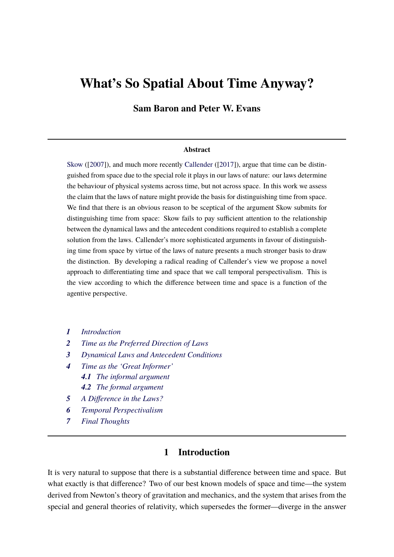# **What's So Spatial About Time Anyway?**

**Sam Baron and Peter W. Evans**

#### **Abstract**

[Skow](#page-23-0) ([\[2007\]](#page-23-0)), and much more recently [Callender](#page-22-0) ([\[2017\]](#page-22-0)), argue that time can be distinguished from space due to the special role it plays in our laws of nature: our laws determine the behaviour of physical systems across time, but not across space. In this work we assess the claim that the laws of nature might provide the basis for distinguishing time from space. We find that there is an obvious reason to be sceptical of the argument Skow submits for distinguishing time from space: Skow fails to pay sufficient attention to the relationship between the dynamical laws and the antecedent conditions required to establish a complete solution from the laws. Callender's more sophisticated arguments in favour of distinguishing time from space by virtue of the laws of nature presents a much stronger basis to draw the distinction. By developing a radical reading of Callender's view we propose a novel approach to differentiating time and space that we call temporal perspectivalism. This is the view according to which the difference between time and space is a function of the agentive perspective.

- *1 [Introduction](#page-0-0)*
- *2 [Time as the Preferred Direction of Laws](#page-1-0)*
- *3 [Dynamical Laws and Antecedent Conditions](#page-3-0)*
- *4 [Time as the 'Great Informer'](#page-8-0)*
	- *4.1 [The informal argument](#page-8-1)*
	- *4.2 [The formal argument](#page-11-0)*
- *5 [A Difference in the Laws?](#page-12-0)*
- *6 [Temporal Perspectivalism](#page-17-0)*
- *7 [Final Thoughts](#page-21-0)*

# **1 Introduction**

<span id="page-0-0"></span>It is very natural to suppose that there is a substantial difference between time and space. But what exactly is that difference? Two of our best known models of space and time—the system derived from Newton's theory of gravitation and mechanics, and the system that arises from the special and general theories of relativity, which supersedes the former—diverge in the answer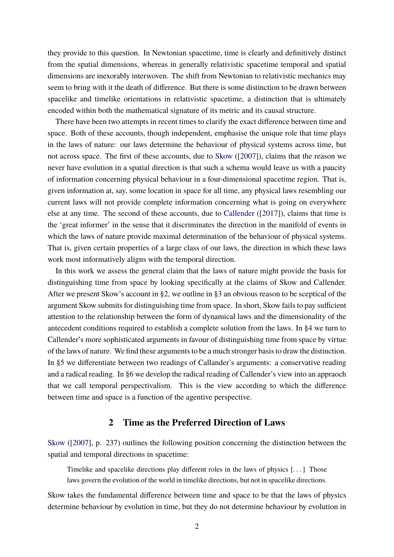they provide to this question. In Newtonian spacetime, time is clearly and definitively distinct from the spatial dimensions, whereas in generally relativistic spacetime temporal and spatial dimensions are inexorably interwoven. The shift from Newtonian to relativistic mechanics may seem to bring with it the death of difference. But there is some distinction to be drawn between spacelike and timelike orientations in relativistic spacetime, a distinction that is ultimately encoded within both the mathematical signature of its metric and its causal structure.

There have been two attempts in recent times to clarify the exact difference between time and space. Both of these accounts, though independent, emphasise the unique role that time plays in the laws of nature: our laws determine the behaviour of physical systems across time, but not across space. The first of these accounts, due to [Skow](#page-23-0) ([\[2007\]](#page-23-0)), claims that the reason we never have evolution in a spatial direction is that such a schema would leave us with a paucity of information concerning physical behaviour in a four-dimensional spacetime region. That is, given information at, say, some location in space for all time, any physical laws resembling our current laws will not provide complete information concerning what is going on everywhere else at any time. The second of these accounts, due to [Callender](#page-22-0) ([\[2017\]](#page-22-0)), claims that time is the 'great informer' in the sense that it discriminates the direction in the manifold of events in which the laws of nature provide maximal determination of the behaviour of physical systems. That is, given certain properties of a large class of our laws, the direction in which these laws work most informatively aligns with the temporal direction.

In this work we assess the general claim that the laws of nature might provide the basis for distinguishing time from space by looking specifically at the claims of Skow and Callender. After we present Skow's account in [§2,](#page-1-0) we outline in [§3](#page-3-0) an obvious reason to be sceptical of the argument Skow submits for distinguishing time from space. In short, Skow fails to pay sufficient attention to the relationship between the form of dynamical laws and the dimensionality of the antecedent conditions required to establish a complete solution from the laws. In [§4](#page-8-0) we turn to Callender's more sophisticated arguments in favour of distinguishing time from space by virtue of the laws of nature. We find these arguments to be a much stronger basis to draw the distinction. In [§5](#page-12-0) we differentiate between two readings of Callander's arguments: a conservative reading and a radical reading. In [§6](#page-17-0) we develop the radical reading of Callender's view into an appraoch that we call temporal perspectivalism. This is the view according to which the difference between time and space is a function of the agentive perspective.

# **2 Time as the Preferred Direction of Laws**

<span id="page-1-0"></span>[Skow](#page-23-0) ([\[2007\]](#page-23-0), p. 237) outlines the following position concerning the distinction between the spatial and temporal directions in spacetime:

Timelike and spacelike directions play different roles in the laws of physics [. . . ] Those laws govern the evolution of the world in timelike directions, but not in spacelike directions.

Skow takes the fundamental difference between time and space to be that the laws of physics determine behaviour by evolution in time, but they do not determine behaviour by evolution in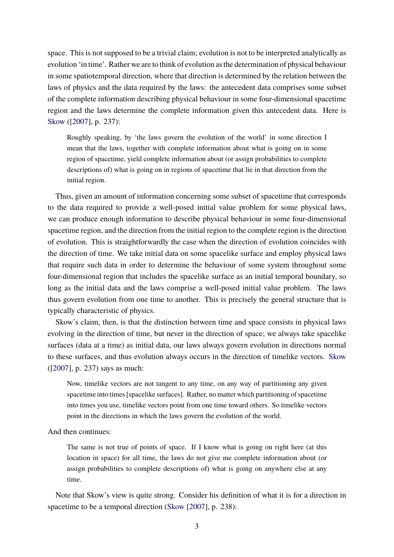space. This is not supposed to be a trivial claim; evolution is not to be interpreted analytically as evolution 'in time'. Rather we are to think of evolution as the determination of physical behaviour in some spatiotemporal direction, where that direction is determined by the relation between the laws of physics and the data required by the laws: the antecedent data comprises some subset of the complete information describing physical behaviour in some four-dimensional spacetime region and the laws determine the complete information given this antecedent data. Here is [Skow](#page-23-0) ([\[2007\]](#page-23-0), p. 237):

Roughly speaking, by 'the laws govern the evolution of the world' in some direction I mean that the laws, together with complete information about what is going on in some region of spacetime, yield complete information about (or assign probabilities to complete descriptions of) what is going on in regions of spacetime that lie in that direction from the initial region.

Thus, given an amount of information concerning some subset of spacetime that corresponds to the data required to provide a well-posed initial value problem for some physical laws, we can produce enough information to describe physical behaviour in some four-dimensional spacetime region, and the direction from the initial region to the complete region is the direction of evolution. This is straightforwardly the case when the direction of evolution coincides with the direction of time. We take initial data on some spacelike surface and employ physical laws that require such data in order to determine the behaviour of some system throughout some four-dimensional region that includes the spacelike surface as an initial temporal boundary, so long as the initial data and the laws comprise a well-posed initial value problem. The laws thus govern evolution from one time to another. This is precisely the general structure that is typically characteristic of physics.

Skow's claim, then, is that the distinction between time and space consists in physical laws evolving in the direction of time, but never in the direction of space; we always take spacelike surfaces (data at a time) as initial data, our laws always govern evolution in directions normal to these surfaces, and thus evolution always occurs in the direction of timelike vectors. [Skow](#page-23-0) ([\[2007\]](#page-23-0), p. 237) says as much:

Now, timelike vectors are not tangent to any time, on any way of partitioning any given spacetime into times [spacelike surfaces]. Rather, no matter which partitioning of spacetime into times you use, timelike vectors point from one time toward others. So timelike vectors point in the directions in which the laws govern the evolution of the world.

And then continues:

The same is not true of points of space. If I know what is going on right here (at this location in space) for all time, the laws do not give me complete information about (or assign probabilities to complete descriptions of) what is going on anywhere else at any time.

Note that Skow's view is quite strong. Consider his definition of what it is for a direction in spacetime to be a temporal direction [\(Skow](#page-23-0) [\[2007\]](#page-23-0), p. 238):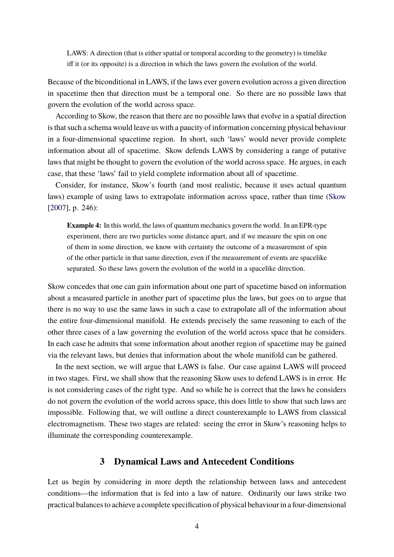LAWS: A direction (that is either spatial or temporal according to the geometry) is timelike iff it (or its opposite) is a direction in which the laws govern the evolution of the world.

Because of the biconditional in LAWS, if the laws ever govern evolution across a given direction in spacetime then that direction must be a temporal one. So there are no possible laws that govern the evolution of the world across space.

According to Skow, the reason that there are no possible laws that evolve in a spatial direction is that such a schema would leave us with a paucity of information concerning physical behaviour in a four-dimensional spacetime region. In short, such 'laws' would never provide complete information about all of spacetime. Skow defends LAWS by considering a range of putative laws that might be thought to govern the evolution of the world across space. He argues, in each case, that these 'laws' fail to yield complete information about all of spacetime.

Consider, for instance, Skow's fourth (and most realistic, because it uses actual quantum laws) example of using laws to extrapolate information across space, rather than time [\(Skow](#page-23-0) [\[2007\]](#page-23-0), p. 246):

**Example 4:** In this world, the laws of quantum mechanics govern the world. In an EPR-type experiment, there are two particles some distance apart, and if we measure the spin on one of them in some direction, we know with certainty the outcome of a measurement of spin of the other particle in that same direction, even if the measurement of events are spacelike separated. So these laws govern the evolution of the world in a spacelike direction.

Skow concedes that one can gain information about one part of spacetime based on information about a measured particle in another part of spacetime plus the laws, but goes on to argue that there is no way to use the same laws in such a case to extrapolate all of the information about the entire four-dimensional manifold. He extends precisely the same reasoning to each of the other three cases of a law governing the evolution of the world across space that he considers. In each case he admits that some information about another region of spacetime may be gained via the relevant laws, but denies that information about the whole manifold can be gathered.

In the next section, we will argue that LAWS is false. Our case against LAWS will proceed in two stages. First, we shall show that the reasoning Skow uses to defend LAWS is in error. He is not considering cases of the right type. And so while he is correct that the laws he considers do not govern the evolution of the world across space, this does little to show that such laws are impossible. Following that, we will outline a direct counterexample to LAWS from classical electromagnetism. These two stages are related: seeing the error in Skow's reasoning helps to illuminate the corresponding counterexample.

## **3 Dynamical Laws and Antecedent Conditions**

<span id="page-3-0"></span>Let us begin by considering in more depth the relationship between laws and antecedent conditions—the information that is fed into a law of nature. Ordinarily our laws strike two practical balances to achieve a complete specification of physical behaviour in a four-dimensional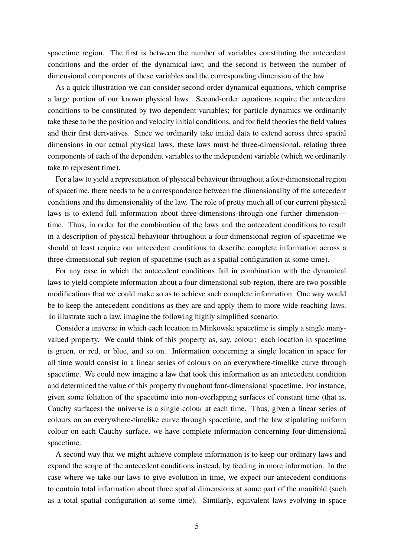spacetime region. The first is between the number of variables constituting the antecedent conditions and the order of the dynamical law; and the second is between the number of dimensional components of these variables and the corresponding dimension of the law.

As a quick illustration we can consider second-order dynamical equations, which comprise a large portion of our known physical laws. Second-order equations require the antecedent conditions to be constituted by two dependent variables; for particle dynamics we ordinarily take these to be the position and velocity initial conditions, and for field theories the field values and their first derivatives. Since we ordinarily take initial data to extend across three spatial dimensions in our actual physical laws, these laws must be three-dimensional, relating three components of each of the dependent variables to the independent variable (which we ordinarily take to represent time).

For a law to yield a representation of physical behaviour throughout a four-dimensional region of spacetime, there needs to be a correspondence between the dimensionality of the antecedent conditions and the dimensionality of the law. The role of pretty much all of our current physical laws is to extend full information about three-dimensions through one further dimension time. Thus, in order for the combination of the laws and the antecedent conditions to result in a description of physical behaviour throughout a four-dimensional region of spacetime we should at least require our antecedent conditions to describe complete information across a three-dimensional sub-region of spacetime (such as a spatial configuration at some time).

For any case in which the antecedent conditions fail in combination with the dynamical laws to yield complete information about a four-dimensional sub-region, there are two possible modifications that we could make so as to achieve such complete information. One way would be to keep the antecedent conditions as they are and apply them to more wide-reaching laws. To illustrate such a law, imagine the following highly simplified scenario.

Consider a universe in which each location in Minkowski spacetime is simply a single manyvalued property. We could think of this property as, say, colour: each location in spacetime is green, or red, or blue, and so on. Information concerning a single location in space for all time would consist in a linear series of colours on an everywhere-timelike curve through spacetime. We could now imagine a law that took this information as an antecedent condition and determined the value of this property throughout four-dimensional spacetime. For instance, given some foliation of the spacetime into non-overlapping surfaces of constant time (that is, Cauchy surfaces) the universe is a single colour at each time. Thus, given a linear series of colours on an everywhere-timelike curve through spacetime, and the law stipulating uniform colour on each Cauchy surface, we have complete information concerning four-dimensional spacetime.

A second way that we might achieve complete information is to keep our ordinary laws and expand the scope of the antecedent conditions instead, by feeding in more information. In the case where we take our laws to give evolution in time, we expect our antecedent conditions to contain total information about three spatial dimensions at some part of the manifold (such as a total spatial configuration at some time). Similarly, equivalent laws evolving in space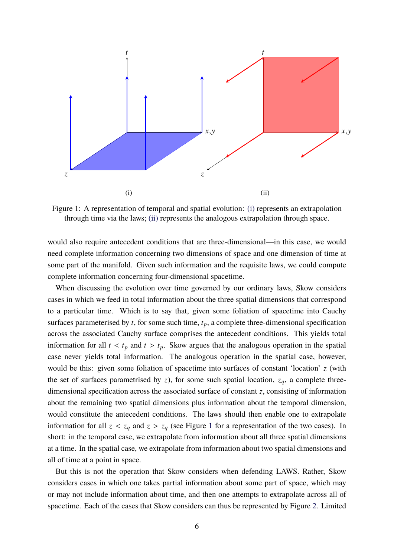<span id="page-5-0"></span>

Figure 1: A representation of temporal and spatial evolution: [\(i\)](#page-5-0) represents an extrapolation through time via the laws; [\(ii\)](#page-5-0) represents the analogous extrapolation through space.

would also require antecedent conditions that are three-dimensional—in this case, we would need complete information concerning two dimensions of space and one dimension of time at some part of the manifold. Given such information and the requisite laws, we could compute complete information concerning four-dimensional spacetime.

When discussing the evolution over time governed by our ordinary laws, Skow considers cases in which we feed in total information about the three spatial dimensions that correspond to a particular time. Which is to say that, given some foliation of spacetime into Cauchy surfaces parameterised by  $t$ , for some such time,  $t_p$ , a complete three-dimensional specification across the associated Cauchy surface comprises the antecedent conditions. This yields total information for all  $t < t_p$  and  $t > t_p$ . Skow argues that the analogous operation in the spatial case never yields total information. The analogous operation in the spatial case, however, would be this: given some foliation of spacetime into surfaces of constant 'location' *z* (with the set of surfaces parametrised by *z*), for some such spatial location,  $z_q$ , a complete threedimensional specification across the associated surface of constant *z*, consisting of information about the remaining two spatial dimensions plus information about the temporal dimension, would constitute the antecedent conditions. The laws should then enable one to extrapolate information for all  $z < z_q$  and  $z > z_q$  (see Figure [1](#page-5-0) for a representation of the two cases). In short: in the temporal case, we extrapolate from information about all three spatial dimensions at a time. In the spatial case, we extrapolate from information about two spatial dimensions and all of time at a point in space.

But this is not the operation that Skow considers when defending LAWS. Rather, Skow considers cases in which one takes partial information about some part of space, which may or may not include information about time, and then one attempts to extrapolate across all of spacetime. Each of the cases that Skow considers can thus be represented by Figure [2.](#page-6-0) Limited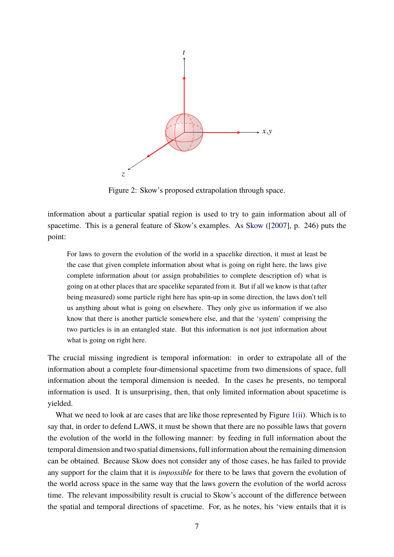<span id="page-6-0"></span>

Figure 2: Skow's proposed extrapolation through space.

information about a particular spatial region is used to try to gain information about all of spacetime. This is a general feature of Skow's examples. As [Skow](#page-23-0) ([\[2007\]](#page-23-0), p. 246) puts the point:

For laws to govern the evolution of the world in a spacelike direction, it must at least be the case that given complete information about what is going on right here, the laws give complete information about (or assign probabilities to complete description of) what is going on at other places that are spacelike separated from it. But if all we know is that (after being measured) some particle right here has spin-up in some direction, the laws don't tell us anything about what is going on elsewhere. They only give us information if we also know that there is another particle somewhere else, and that the 'system' comprising the two particles is in an entangled state. But this information is not just information about what is going on right here.

The crucial missing ingredient is temporal information: in order to extrapolate all of the information about a complete four-dimensional spacetime from two dimensions of space, full information about the temporal dimension is needed. In the cases he presents, no temporal information is used. It is unsurprising, then, that only limited information about spacetime is yielded.

What we need to look at are cases that are like those represented by Figure [1\(ii\).](#page-5-0) Which is to say that, in order to defend LAWS, it must be shown that there are no possible laws that govern the evolution of the world in the following manner: by feeding in full information about the temporal dimension and two spatial dimensions, full information about the remaining dimension can be obtained. Because Skow does not consider any of those cases, he has failed to provide any support for the claim that it is *impossible* for there to be laws that govern the evolution of the world across space in the same way that the laws govern the evolution of the world across time. The relevant impossibility result is crucial to Skow's account of the difference between the spatial and temporal directions of spacetime. For, as he notes, his 'view entails that it is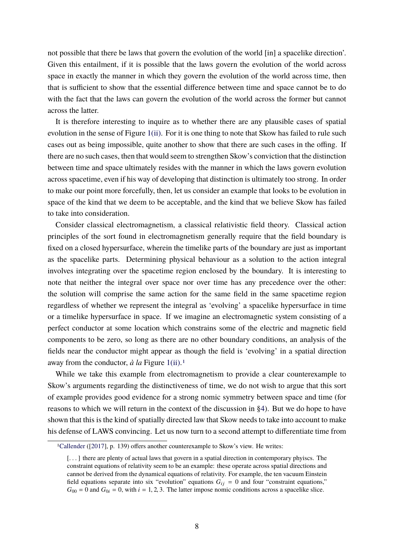not possible that there be laws that govern the evolution of the world [in] a spacelike direction'. Given this entailment, if it is possible that the laws govern the evolution of the world across space in exactly the manner in which they govern the evolution of the world across time, then that is sufficient to show that the essential difference between time and space cannot be to do with the fact that the laws can govern the evolution of the world across the former but cannot across the latter.

It is therefore interesting to inquire as to whether there are any plausible cases of spatial evolution in the sense of Figure [1\(ii\).](#page-5-0) For it is one thing to note that Skow has failed to rule such cases out as being impossible, quite another to show that there are such cases in the offing. If there are no such cases, then that would seem to strengthen Skow's conviction that the distinction between time and space ultimately resides with the manner in which the laws govern evolution across spacetime, even if his way of developing that distinction is ultimately too strong. In order to make our point more forcefully, then, let us consider an example that looks to be evolution in space of the kind that we deem to be acceptable, and the kind that we believe Skow has failed to take into consideration.

Consider classical electromagnetism, a classical relativistic field theory. Classical action principles of the sort found in electromagnetism generally require that the field boundary is fixed on a closed hypersurface, wherein the timelike parts of the boundary are just as important as the spacelike parts. Determining physical behaviour as a solution to the action integral involves integrating over the spacetime region enclosed by the boundary. It is interesting to note that neither the integral over space nor over time has any precedence over the other: the solution will comprise the same action for the same field in the same spacetime region regardless of whether we represent the integral as 'evolving' a spacelike hypersurface in time or a timelike hypersurface in space. If we imagine an electromagnetic system consisting of a perfect conductor at some location which constrains some of the electric and magnetic field components to be zero, so long as there are no other boundary conditions, an analysis of the fields near the conductor might appear as though the field is 'evolving' in a spatial direction away from the conductor, *à la* Figure [1\(ii\).](#page-5-0)[1](#page-7-0)

While we take this example from electromagnetism to provide a clear counterexample to Skow's arguments regarding the distinctiveness of time, we do not wish to argue that this sort of example provides good evidence for a strong nomic symmetry between space and time (for reasons to which we will return in the context of the discussion in [§4\)](#page-8-0). But we do hope to have shown that this is the kind of spatially directed law that Skow needs to take into account to make his defense of LAWS convincing. Let us now turn to a second attempt to differentiate time from

<span id="page-7-0"></span><sup>&</sup>lt;sup>1</sup>[Callender](#page-22-0) ([\[2017\]](#page-22-0), p. 139) offers another counterexample to Skow's view. He writes:

<sup>[. . . ]</sup> there are plenty of actual laws that govern in a spatial direction in contemporary phyiscs. The constraint equations of relativity seem to be an example: these operate across spatial directions and cannot be derived from the dynamical equations of relativity. For example, the ten vacuum Einstein field equations separate into six "evolution" equations  $G_{ii} = 0$  and four "constraint equations,"  $G_{00} = 0$  and  $G_{0i} = 0$ , with  $i = 1, 2, 3$ . The latter impose nomic conditions across a spacelike slice.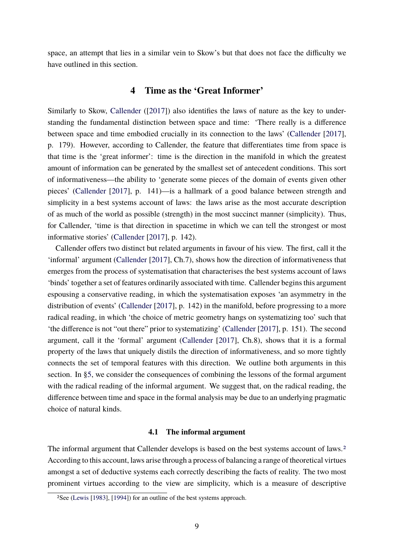space, an attempt that lies in a similar vein to Skow's but that does not face the difficulty we have outlined in this section.

## **4 Time as the 'Great Informer'**

<span id="page-8-0"></span>Similarly to Skow, [Callender](#page-22-0) ([\[2017\]](#page-22-0)) also identifies the laws of nature as the key to understanding the fundamental distinction between space and time: 'There really is a difference between space and time embodied crucially in its connection to the laws' [\(Callender](#page-22-0) [\[2017\]](#page-22-0), p. 179). However, according to Callender, the feature that differentiates time from space is that time is the 'great informer': time is the direction in the manifold in which the greatest amount of information can be generated by the smallest set of antecedent conditions. This sort of informativeness—the ability to 'generate some pieces of the domain of events given other pieces' [\(Callender](#page-22-0) [\[2017\]](#page-22-0), p. 141)—is a hallmark of a good balance between strength and simplicity in a best systems account of laws: the laws arise as the most accurate description of as much of the world as possible (strength) in the most succinct manner (simplicity). Thus, for Callender, 'time is that direction in spacetime in which we can tell the strongest or most informative stories' [\(Callender](#page-22-0) [\[2017\]](#page-22-0), p. 142).

Callender offers two distinct but related arguments in favour of his view. The first, call it the 'informal' argument [\(Callender](#page-22-0) [\[2017\]](#page-22-0), Ch.7), shows how the direction of informativeness that emerges from the process of systematisation that characterises the best systems account of laws 'binds' together a set of features ordinarily associated with time. Callender begins this argument espousing a conservative reading, in which the systematisation exposes 'an asymmetry in the distribution of events' [\(Callender](#page-22-0) [\[2017\]](#page-22-0), p. 142) in the manifold, before progressing to a more radical reading, in which 'the choice of metric geometry hangs on systematizing too' such that 'the difference is not "out there" prior to systematizing' [\(Callender](#page-22-0) [\[2017\]](#page-22-0), p. 151). The second argument, call it the 'formal' argument [\(Callender](#page-22-0) [\[2017\]](#page-22-0), Ch.8), shows that it is a formal property of the laws that uniquely distils the direction of informativeness, and so more tightly connects the set of temporal features with this direction. We outline both arguments in this section. In [§5,](#page-12-0) we consider the consequences of combining the lessons of the formal argument with the radical reading of the informal argument. We suggest that, on the radical reading, the difference between time and space in the formal analysis may be due to an underlying pragmatic choice of natural kinds.

#### **4.1 The informal argument**

<span id="page-8-1"></span>The informal argument that Callender develops is based on the best systems account of laws.<sup>[2](#page-8-2)</sup> According to this account, laws arise through a process of balancing a range of theoretical virtues amongst a set of deductive systems each correctly describing the facts of reality. The two most prominent virtues according to the view are simplicity, which is a measure of descriptive

<span id="page-8-2"></span><sup>2</sup>See [\(Lewis](#page-22-1) [\[1983\]](#page-22-1), [\[1994\]](#page-22-2)) for an outline of the best systems approach.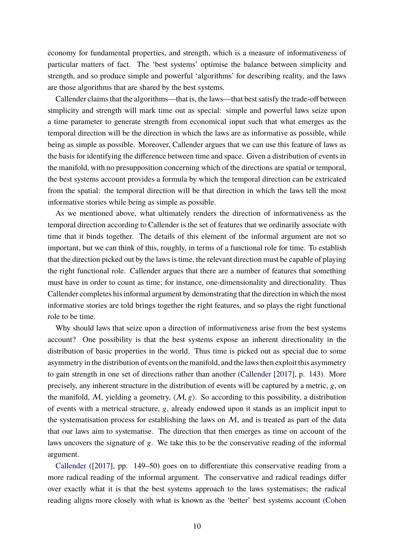economy for fundamental properties, and strength, which is a measure of informativeness of particular matters of fact. The 'best systems' optimise the balance between simplicity and strength, and so produce simple and powerful 'algorithms' for describing reality, and the laws are those algorithms that are shared by the best systems.

Callender claims that the algorithms—that is, the laws—that best satisfy the trade-off between simplicity and strength will mark time out as special: simple and powerful laws seize upon a time parameter to generate strength from economical input such that what emerges as the temporal direction will be the direction in which the laws are as informative as possible, while being as simple as possible. Moreover, Callender argues that we can use this feature of laws as the basis for identifying the difference between time and space. Given a distribution of events in the manifold, with no presupposition concerning which of the directions are spatial or temporal, the best systems account provides a formula by which the temporal direction can be extricated from the spatial: the temporal direction will be that direction in which the laws tell the most informative stories while being as simple as possible.

As we mentioned above, what ultimately renders the direction of informativeness as the temporal direction according to Callender is the set of features that we ordinarily associate with time that it binds together. The details of this element of the informal argument are not so important, but we can think of this, roughly, in terms of a functional role for time. To establish that the direction picked out by the laws is time, the relevant direction must be capable of playing the right functional role. Callender argues that there are a number of features that something must have in order to count as time; for instance, one-dimensionality and directionality. Thus Callender completes his informal argument by demonstrating that the direction in which the most informative stories are told brings together the right features, and so plays the right functional role to be time.

Why should laws that seize upon a direction of informativeness arise from the best systems account? One possibility is that the best systems expose an inherent directionality in the distribution of basic properties in the world. Thus time is picked out as special due to some asymmetry in the distribution of events on the manifold, and the laws then exploit this asymmetry to gain strength in one set of directions rather than another [\(Callender](#page-22-0) [\[2017\]](#page-22-0), p. 143). More precisely, any inherent structure in the distribution of events will be captured by a metric, g, on the manifold, M, yielding a geometry,  $\langle M, g \rangle$ . So according to this possibility, a distribution of events with a metrical structure, g, already endowed upon it stands as an implicit input to the systematisation process for establishing the laws on  $M$ , and is treated as part of the data that our laws aim to systematise. The direction that then emerges as time on account of the laws uncovers the signature of g. We take this to be the conservative reading of the informal argument.

[Callender](#page-22-0) ([\[2017\]](#page-22-0), pp. 149–50) goes on to differentiate this conservative reading from a more radical reading of the informal argument. The conservative and radical readings differ over exactly what it is that the best systems approach to the laws systematises; the radical reading aligns more closely with what is known as the 'better' best systems account [\(Cohen](#page-22-3)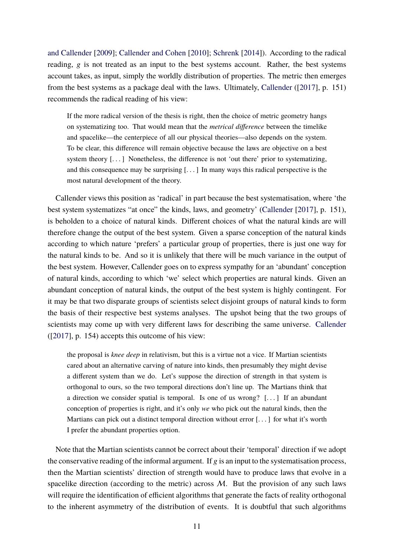[and Callender](#page-22-3) [\[2009\]](#page-22-3); [Callender and Cohen](#page-22-4) [\[2010\]](#page-22-4); [Schrenk](#page-22-5) [\[2014\]](#page-22-5)). According to the radical reading, g is not treated as an input to the best systems account. Rather, the best systems account takes, as input, simply the worldly distribution of properties. The metric then emerges from the best systems as a package deal with the laws. Ultimately, [Callender](#page-22-0) ([\[2017\]](#page-22-0), p. 151) recommends the radical reading of his view:

If the more radical version of the thesis is right, then the choice of metric geometry hangs on systematizing too. That would mean that the *metrical difference* between the timelike and spacelike—the centerpiece of all our physical theories—also depends on the system. To be clear, this difference will remain objective because the laws are objective on a best system theory  $[\dots]$  Nonetheless, the difference is not 'out there' prior to systematizing, and this consequence may be surprising [. . . ] In many ways this radical perspective is the most natural development of the theory.

Callender views this position as 'radical' in part because the best systematisation, where 'the best system systematizes "at once" the kinds, laws, and geometry' [\(Callender](#page-22-0) [\[2017\]](#page-22-0), p. 151), is beholden to a choice of natural kinds. Different choices of what the natural kinds are will therefore change the output of the best system. Given a sparse conception of the natural kinds according to which nature 'prefers' a particular group of properties, there is just one way for the natural kinds to be. And so it is unlikely that there will be much variance in the output of the best system. However, Callender goes on to express sympathy for an 'abundant' conception of natural kinds, according to which 'we' select which properties are natural kinds. Given an abundant conception of natural kinds, the output of the best system is highly contingent. For it may be that two disparate groups of scientists select disjoint groups of natural kinds to form the basis of their respective best systems analyses. The upshot being that the two groups of scientists may come up with very different laws for describing the same universe. [Callender](#page-22-0) ([\[2017\]](#page-22-0), p. 154) accepts this outcome of his view:

the proposal is *knee deep* in relativism, but this is a virtue not a vice. If Martian scientists cared about an alternative carving of nature into kinds, then presumably they might devise a different system than we do. Let's suppose the direction of strength in that system is orthogonal to ours, so the two temporal directions don't line up. The Martians think that a direction we consider spatial is temporal. Is one of us wrong? [. . . ] If an abundant conception of properties is right, and it's only *we* who pick out the natural kinds, then the Martians can pick out a distinct temporal direction without error [...] for what it's worth I prefer the abundant properties option.

Note that the Martian scientists cannot be correct about their 'temporal' direction if we adopt the conservative reading of the informal argument. If  $g$  is an input to the systematisation process, then the Martian scientists' direction of strength would have to produce laws that evolve in a spacelike direction (according to the metric) across  $M$ . But the provision of any such laws will require the identification of efficient algorithms that generate the facts of reality orthogonal to the inherent asymmetry of the distribution of events. It is doubtful that such algorithms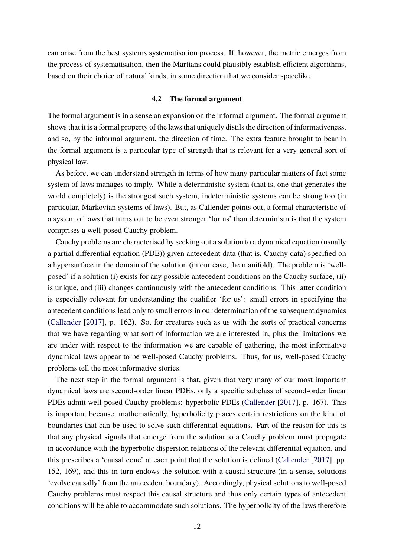can arise from the best systems systematisation process. If, however, the metric emerges from the process of systematisation, then the Martians could plausibly establish efficient algorithms, based on their choice of natural kinds, in some direction that we consider spacelike.

#### **4.2 The formal argument**

<span id="page-11-0"></span>The formal argument is in a sense an expansion on the informal argument. The formal argument shows that it is a formal property of the laws that uniquely distils the direction of informativeness, and so, by the informal argument, the direction of time. The extra feature brought to bear in the formal argument is a particular type of strength that is relevant for a very general sort of physical law.

As before, we can understand strength in terms of how many particular matters of fact some system of laws manages to imply. While a deterministic system (that is, one that generates the world completely) is the strongest such system, indeterministic systems can be strong too (in particular, Markovian systems of laws). But, as Callender points out, a formal characteristic of a system of laws that turns out to be even stronger 'for us' than determinism is that the system comprises a well-posed Cauchy problem.

Cauchy problems are characterised by seeking out a solution to a dynamical equation (usually a partial differential equation (PDE)) given antecedent data (that is, Cauchy data) specified on a hypersurface in the domain of the solution (in our case, the manifold). The problem is 'wellposed' if a solution (i) exists for any possible antecedent conditions on the Cauchy surface, (ii) is unique, and (iii) changes continuously with the antecedent conditions. This latter condition is especially relevant for understanding the qualifier 'for us': small errors in specifying the antecedent conditions lead only to small errors in our determination of the subsequent dynamics [\(Callender](#page-22-0) [\[2017\]](#page-22-0), p. 162). So, for creatures such as us with the sorts of practical concerns that we have regarding what sort of information we are interested in, plus the limitations we are under with respect to the information we are capable of gathering, the most informative dynamical laws appear to be well-posed Cauchy problems. Thus, for us, well-posed Cauchy problems tell the most informative stories.

The next step in the formal argument is that, given that very many of our most important dynamical laws are second-order linear PDEs, only a specific subclass of second-order linear PDEs admit well-posed Cauchy problems: hyperbolic PDEs [\(Callender](#page-22-0) [\[2017\]](#page-22-0), p. 167). This is important because, mathematically, hyperbolicity places certain restrictions on the kind of boundaries that can be used to solve such differential equations. Part of the reason for this is that any physical signals that emerge from the solution to a Cauchy problem must propagate in accordance with the hyperbolic dispersion relations of the relevant differential equation, and this prescribes a 'causal cone' at each point that the solution is defined [\(Callender](#page-22-0) [\[2017\]](#page-22-0), pp. 152, 169), and this in turn endows the solution with a causal structure (in a sense, solutions 'evolve causally' from the antecedent boundary). Accordingly, physical solutions to well-posed Cauchy problems must respect this causal structure and thus only certain types of antecedent conditions will be able to accommodate such solutions. The hyperbolicity of the laws therefore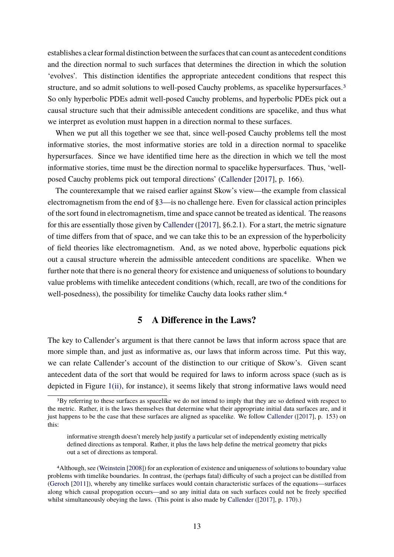establishes a clear formal distinction between the surfaces that can count as antecedent conditions and the direction normal to such surfaces that determines the direction in which the solution 'evolves'. This distinction identifies the appropriate antecedent conditions that respect this structure, and so admit solutions to well-posed Cauchy problems, as spacelike hypersurfaces.<sup>[3](#page-12-1)</sup> So only hyperbolic PDEs admit well-posed Cauchy problems, and hyperbolic PDEs pick out a causal structure such that their admissible antecedent conditions are spacelike, and thus what we interpret as evolution must happen in a direction normal to these surfaces.

When we put all this together we see that, since well-posed Cauchy problems tell the most informative stories, the most informative stories are told in a direction normal to spacelike hypersurfaces. Since we have identified time here as the direction in which we tell the most informative stories, time must be the direction normal to spacelike hypersurfaces. Thus, 'wellposed Cauchy problems pick out temporal directions' [\(Callender](#page-22-0) [\[2017\]](#page-22-0), p. 166).

The counterexample that we raised earlier against Skow's view—the example from classical electromagnetism from the end of [§3—](#page-3-0)is no challenge here. Even for classical action principles of the sort found in electromagnetism, time and space cannot be treated as identical. The reasons for this are essentially those given by [Callender](#page-22-0) ([\[2017\]](#page-22-0), §6.2.1). For a start, the metric signature of time differs from that of space, and we can take this to be an expression of the hyperbolicity of field theories like electromagnetism. And, as we noted above, hyperbolic equations pick out a causal structure wherein the admissible antecedent conditions are spacelike. When we further note that there is no general theory for existence and uniqueness of solutions to boundary value problems with timelike antecedent conditions (which, recall, are two of the conditions for well-posedness), the possibility for timelike Cauchy data looks rather slim.<sup>[4](#page-12-2)</sup>

# **5 A Difference in the Laws?**

<span id="page-12-0"></span>The key to Callender's argument is that there cannot be laws that inform across space that are more simple than, and just as informative as, our laws that inform across time. Put this way, we can relate Callender's account of the distinction to our critique of Skow's. Given scant antecedent data of the sort that would be required for laws to inform across space (such as is depicted in Figure [1\(ii\),](#page-5-0) for instance), it seems likely that strong informative laws would need

<span id="page-12-1"></span><sup>3</sup>By referring to these surfaces as spacelike we do not intend to imply that they are so defined with respect to the metric. Rather, it is the laws themselves that determine what their appropriate initial data surfaces are, and it just happens to be the case that these surfaces are aligned as spacelike. We follow [Callender](#page-22-0) ([\[2017\]](#page-22-0), p. 153) on this:

informative strength doesn't merely help justify a particular set of independently existing metrically defined directions as temporal. Rather, it plus the laws help define the metrical geometry that picks out a set of directions as temporal.

<span id="page-12-2"></span><sup>4</sup>Although, see [\(Weinstein](#page-23-1) [\[2008\]](#page-23-1)) for an exploration of existence and uniqueness of solutions to boundary value problems with timelike boundaries. In contrast, the (perhaps fatal) difficulty of such a project can be distilled from [\(Geroch](#page-22-6) [\[2011\]](#page-22-6)), whereby any timelike surfaces would contain characteristic surfaces of the equations—surfaces along which causal propogation occurs—and so any initial data on such surfaces could not be freely specified whilst simultaneously obeying the laws. (This point is also made by [Callender](#page-22-0) ([\[2017\]](#page-22-0), p. 170).)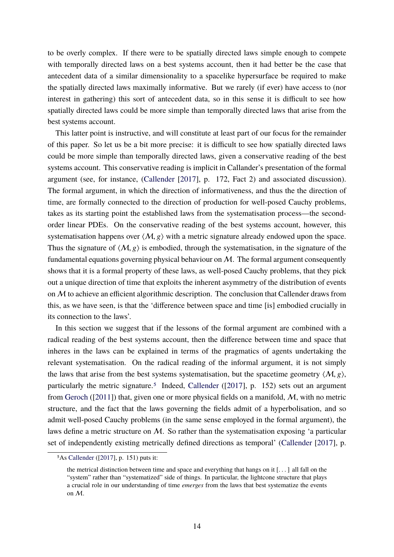to be overly complex. If there were to be spatially directed laws simple enough to compete with temporally directed laws on a best systems account, then it had better be the case that antecedent data of a similar dimensionality to a spacelike hypersurface be required to make the spatially directed laws maximally informative. But we rarely (if ever) have access to (nor interest in gathering) this sort of antecedent data, so in this sense it is difficult to see how spatially directed laws could be more simple than temporally directed laws that arise from the best systems account.

This latter point is instructive, and will constitute at least part of our focus for the remainder of this paper. So let us be a bit more precise: it is difficult to see how spatially directed laws could be more simple than temporally directed laws, given a conservative reading of the best systems account. This conservative reading is implicit in Callander's presentation of the formal argument (see, for instance, [\(Callender](#page-22-0) [\[2017\]](#page-22-0), p. 172, Fact 2) and associated discussion). The formal argument, in which the direction of informativeness, and thus the the direction of time, are formally connected to the direction of production for well-posed Cauchy problems, takes as its starting point the established laws from the systematisation process—the secondorder linear PDEs. On the conservative reading of the best systems account, however, this systematisation happens over  $\langle M, g \rangle$  with a metric signature already endowed upon the space. Thus the signature of  $\langle M, g \rangle$  is embodied, through the systematisation, in the signature of the fundamental equations governing physical behaviour on  $M$ . The formal argument consequently shows that it is a formal property of these laws, as well-posed Cauchy problems, that they pick out a unique direction of time that exploits the inherent asymmetry of the distribution of events on M to achieve an efficient algorithmic description. The conclusion that Callender draws from this, as we have seen, is that the 'difference between space and time [is] embodied crucially in its connection to the laws'.

In this section we suggest that if the lessons of the formal argument are combined with a radical reading of the best systems account, then the difference between time and space that inheres in the laws can be explained in terms of the pragmatics of agents undertaking the relevant systematisation. On the radical reading of the informal argument, it is not simply the laws that arise from the best systems systematisation, but the spacetime geometry  $\langle M, g \rangle$ , particularly the metric signature.<sup>[5](#page-13-0)</sup> Indeed, [Callender](#page-22-0) ([\[2017\]](#page-22-0), p. 152) sets out an argument from [Geroch](#page-22-6) ([\[2011\]](#page-22-6)) that, given one or more physical fields on a manifold, M, with no metric structure, and the fact that the laws governing the fields admit of a hyperbolisation, and so admit well-posed Cauchy problems (in the same sense employed in the formal argument), the laws define a metric structure on  $M$ . So rather than the systematisation exposing 'a particular set of independently existing metrically defined directions as temporal' [\(Callender](#page-22-0) [\[2017\]](#page-22-0), p.

<span id="page-13-0"></span><sup>5</sup>As [Callender](#page-22-0) ([\[2017\]](#page-22-0), p. 151) puts it:

the metrical distinction between time and space and everything that hangs on it  $[\dots]$  all fall on the "system" rather than "systematized" side of things. In particular, the lightcone structure that plays a crucial role in our understanding of time *emerges* from the laws that best systematize the events on M.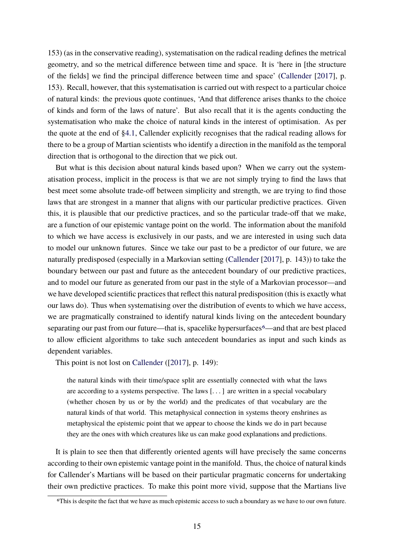153) (as in the conservative reading), systematisation on the radical reading defines the metrical geometry, and so the metrical difference between time and space. It is 'here in [the structure of the fields] we find the principal difference between time and space' [\(Callender](#page-22-0) [\[2017\]](#page-22-0), p. 153). Recall, however, that this systematisation is carried out with respect to a particular choice of natural kinds: the previous quote continues, 'And that difference arises thanks to the choice of kinds and form of the laws of nature'. But also recall that it is the agents conducting the systematisation who make the choice of natural kinds in the interest of optimisation. As per the quote at the end of [§4.1,](#page-8-1) Callender explicitly recognises that the radical reading allows for there to be a group of Martian scientists who identify a direction in the manifold as the temporal direction that is orthogonal to the direction that we pick out.

But what is this decision about natural kinds based upon? When we carry out the systematisation process, implicit in the process is that we are not simply trying to find the laws that best meet some absolute trade-off between simplicity and strength, we are trying to find those laws that are strongest in a manner that aligns with our particular predictive practices. Given this, it is plausible that our predictive practices, and so the particular trade-off that we make, are a function of our epistemic vantage point on the world. The information about the manifold to which we have access is exclusively in our pasts, and we are interested in using such data to model our unknown futures. Since we take our past to be a predictor of our future, we are naturally predisposed (especially in a Markovian setting [\(Callender](#page-22-0) [\[2017\]](#page-22-0), p. 143)) to take the boundary between our past and future as the antecedent boundary of our predictive practices, and to model our future as generated from our past in the style of a Markovian processor—and we have developed scientific practices that reflect this natural predisposition (this is exactly what our laws do). Thus when systematising over the distribution of events to which we have access, we are pragmatically constrained to identify natural kinds living on the antecedent boundary separating our past from our future—that is, spacelike hypersurfaces[6](#page-14-0)—and that are best placed to allow efficient algorithms to take such antecedent boundaries as input and such kinds as dependent variables.

This point is not lost on [Callender](#page-22-0) ([\[2017\]](#page-22-0), p. 149):

the natural kinds with their time/space split are essentially connected with what the laws are according to a systems perspective. The laws  $[\ldots]$  are written in a special vocabulary (whether chosen by us or by the world) and the predicates of that vocabulary are the natural kinds of that world. This metaphysical connection in systems theory enshrines as metaphysical the epistemic point that we appear to choose the kinds we do in part because they are the ones with which creatures like us can make good explanations and predictions.

It is plain to see then that differently oriented agents will have precisely the same concerns according to their own epistemic vantage point in the manifold. Thus, the choice of natural kinds for Callender's Martians will be based on their particular pragmatic concerns for undertaking their own predictive practices. To make this point more vivid, suppose that the Martians live

<span id="page-14-0"></span><sup>6</sup>This is despite the fact that we have as much epistemic access to such a boundary as we have to our own future.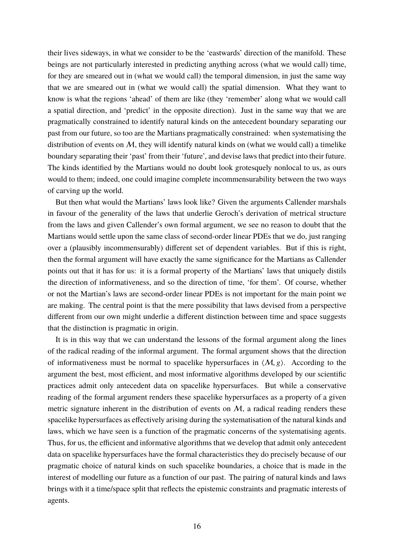their lives sideways, in what we consider to be the 'eastwards' direction of the manifold. These beings are not particularly interested in predicting anything across (what we would call) time, for they are smeared out in (what we would call) the temporal dimension, in just the same way that we are smeared out in (what we would call) the spatial dimension. What they want to know is what the regions 'ahead' of them are like (they 'remember' along what we would call a spatial direction, and 'predict' in the opposite direction). Just in the same way that we are pragmatically constrained to identify natural kinds on the antecedent boundary separating our past from our future, so too are the Martians pragmatically constrained: when systematising the distribution of events on  $M$ , they will identify natural kinds on (what we would call) a timelike boundary separating their 'past' from their 'future', and devise laws that predict into their future. The kinds identified by the Martians would no doubt look grotesquely nonlocal to us, as ours would to them; indeed, one could imagine complete incommensurability between the two ways of carving up the world.

But then what would the Martians' laws look like? Given the arguments Callender marshals in favour of the generality of the laws that underlie Geroch's derivation of metrical structure from the laws and given Callender's own formal argument, we see no reason to doubt that the Martians would settle upon the same class of second-order linear PDEs that we do, just ranging over a (plausibly incommensurably) different set of dependent variables. But if this is right, then the formal argument will have exactly the same significance for the Martians as Callender points out that it has for us: it is a formal property of the Martians' laws that uniquely distils the direction of informativeness, and so the direction of time, 'for them'. Of course, whether or not the Martian's laws are second-order linear PDEs is not important for the main point we are making. The central point is that the mere possibility that laws devised from a perspective different from our own might underlie a different distinction between time and space suggests that the distinction is pragmatic in origin.

It is in this way that we can understand the lessons of the formal argument along the lines of the radical reading of the informal argument. The formal argument shows that the direction of informativeness must be normal to spacelike hypersurfaces in  $\langle M, g \rangle$ . According to the argument the best, most efficient, and most informative algorithms developed by our scientific practices admit only antecedent data on spacelike hypersurfaces. But while a conservative reading of the formal argument renders these spacelike hypersurfaces as a property of a given metric signature inherent in the distribution of events on  $M$ , a radical reading renders these spacelike hypersurfaces as effectively arising during the systematisation of the natural kinds and laws, which we have seen is a function of the pragmatic concerns of the systematising agents. Thus, for us, the efficient and informative algorithms that we develop that admit only antecedent data on spacelike hypersurfaces have the formal characteristics they do precisely because of our pragmatic choice of natural kinds on such spacelike boundaries, a choice that is made in the interest of modelling our future as a function of our past. The pairing of natural kinds and laws brings with it a time/space split that reflects the epistemic constraints and pragmatic interests of agents.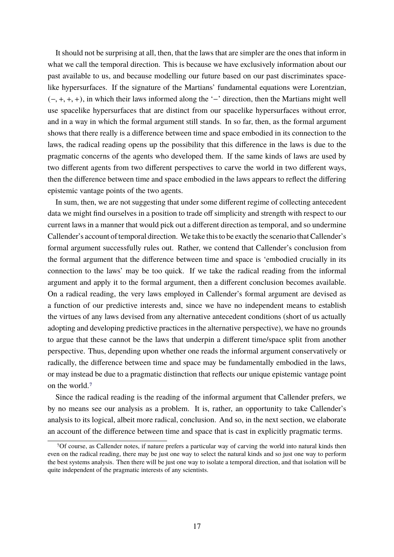It should not be surprising at all, then, that the laws that are simpler are the ones that inform in what we call the temporal direction. This is because we have exclusively information about our past available to us, and because modelling our future based on our past discriminates spacelike hypersurfaces. If the signature of the Martians' fundamental equations were Lorentzian, (−, <sup>+</sup>, <sup>+</sup>, <sup>+</sup>), in which their laws informed along the '−' direction, then the Martians might well use spacelike hypersurfaces that are distinct from our spacelike hypersurfaces without error, and in a way in which the formal argument still stands. In so far, then, as the formal argument shows that there really is a difference between time and space embodied in its connection to the laws, the radical reading opens up the possibility that this difference in the laws is due to the pragmatic concerns of the agents who developed them. If the same kinds of laws are used by two different agents from two different perspectives to carve the world in two different ways, then the difference between time and space embodied in the laws appears to reflect the differing epistemic vantage points of the two agents.

In sum, then, we are not suggesting that under some different regime of collecting antecedent data we might find ourselves in a position to trade off simplicity and strength with respect to our current laws in a manner that would pick out a different direction as temporal, and so undermine Callender's account of temporal direction. We take this to be exactly the scenario that Callender's formal argument successfully rules out. Rather, we contend that Callender's conclusion from the formal argument that the difference between time and space is 'embodied crucially in its connection to the laws' may be too quick. If we take the radical reading from the informal argument and apply it to the formal argument, then a different conclusion becomes available. On a radical reading, the very laws employed in Callender's formal argument are devised as a function of our predictive interests and, since we have no independent means to establish the virtues of any laws devised from any alternative antecedent conditions (short of us actually adopting and developing predictive practices in the alternative perspective), we have no grounds to argue that these cannot be the laws that underpin a different time/space split from another perspective. Thus, depending upon whether one reads the informal argument conservatively or radically, the difference between time and space may be fundamentally embodied in the laws, or may instead be due to a pragmatic distinction that reflects our unique epistemic vantage point on the world.[7](#page-16-0)

Since the radical reading is the reading of the informal argument that Callender prefers, we by no means see our analysis as a problem. It is, rather, an opportunity to take Callender's analysis to its logical, albeit more radical, conclusion. And so, in the next section, we elaborate an account of the difference between time and space that is cast in explicitly pragmatic terms.

<span id="page-16-0"></span><sup>7</sup>Of course, as Callender notes, if nature prefers a particular way of carving the world into natural kinds then even on the radical reading, there may be just one way to select the natural kinds and so just one way to perform the best systems analysis. Then there will be just one way to isolate a temporal direction, and that isolation will be quite independent of the pragmatic interests of any scientists.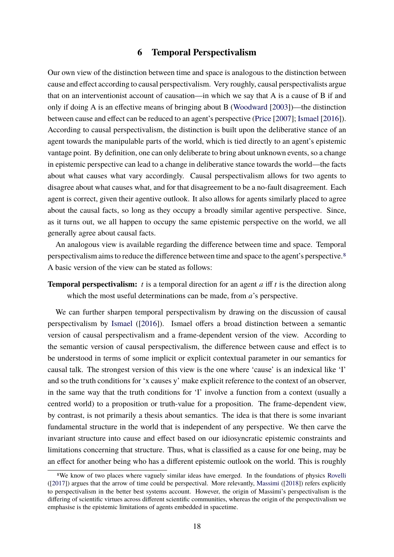## **6 Temporal Perspectivalism**

<span id="page-17-0"></span>Our own view of the distinction between time and space is analogous to the distinction between cause and effect according to causal perspectivalism. Very roughly, causal perspectivalists argue that on an interventionist account of causation—in which we say that A is a cause of B if and only if doing A is an effective means of bringing about B [\(Woodward](#page-23-2) [\[2003\]](#page-23-2))—the distinction between cause and effect can be reduced to an agent's perspective [\(Price](#page-22-7) [\[2007\]](#page-22-7); [Ismael](#page-22-8) [\[2016\]](#page-22-8)). According to causal perspectivalism, the distinction is built upon the deliberative stance of an agent towards the manipulable parts of the world, which is tied directly to an agent's epistemic vantage point. By definition, one can only deliberate to bring about unknown events, so a change in epistemic perspective can lead to a change in deliberative stance towards the world—the facts about what causes what vary accordingly. Causal perspectivalism allows for two agents to disagree about what causes what, and for that disagreement to be a no-fault disagreement. Each agent is correct, given their agentive outlook. It also allows for agents similarly placed to agree about the causal facts, so long as they occupy a broadly similar agentive perspective. Since, as it turns out, we all happen to occupy the same epistemic perspective on the world, we all generally agree about causal facts.

An analogous view is available regarding the difference between time and space. Temporal perspectivalism aims to reduce the difference between time and space to the agent's perspective.[8](#page-17-1) A basic version of the view can be stated as follows:

**Temporal perspectivalism:** *t* is a temporal direction for an agent *a* iff *t* is the direction along which the most useful determinations can be made, from *a*'s perspective.

We can further sharpen temporal perspectivalism by drawing on the discussion of causal perspectivalism by [Ismael](#page-22-8) ([\[2016\]](#page-22-8)). Ismael offers a broad distinction between a semantic version of causal perspectivalism and a frame-dependent version of the view. According to the semantic version of causal perspectivalism, the difference between cause and effect is to be understood in terms of some implicit or explicit contextual parameter in our semantics for causal talk. The strongest version of this view is the one where 'cause' is an indexical like 'I' and so the truth conditions for 'x causes y' make explicit reference to the context of an observer, in the same way that the truth conditions for 'I' involve a function from a context (usually a centred world) to a proposition or truth-value for a proposition. The frame-dependent view, by contrast, is not primarily a thesis about semantics. The idea is that there is some invariant fundamental structure in the world that is independent of any perspective. We then carve the invariant structure into cause and effect based on our idiosyncratic epistemic constraints and limitations concerning that structure. Thus, what is classified as a cause for one being, may be an effect for another being who has a different epistemic outlook on the world. This is roughly

<span id="page-17-1"></span><sup>8</sup>We know of two places where vaguely similar ideas have emerged. In the foundations of physics [Rovelli](#page-22-9) ([\[2017\]](#page-22-9)) argues that the arrow of time could be perspectival. More relevantly, [Massimi](#page-22-10) ([\[2018\]](#page-22-10)) refers explicitly to perspectivalism in the better best systems account. However, the origin of Massimi's perspectivalism is the differing of scientific virtues across different scientific communities, whereas the origin of the perspectivalism we emphasise is the epistemic limitations of agents embedded in spacetime.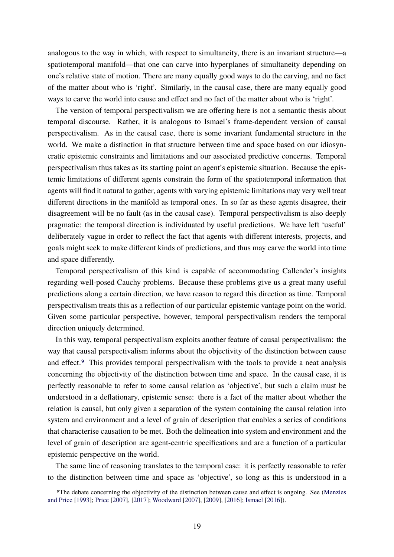analogous to the way in which, with respect to simultaneity, there is an invariant structure—a spatiotemporal manifold—that one can carve into hyperplanes of simultaneity depending on one's relative state of motion. There are many equally good ways to do the carving, and no fact of the matter about who is 'right'. Similarly, in the causal case, there are many equally good ways to carve the world into cause and effect and no fact of the matter about who is 'right'.

The version of temporal perspectivalism we are offering here is not a semantic thesis about temporal discourse. Rather, it is analogous to Ismael's frame-dependent version of causal perspectivalism. As in the causal case, there is some invariant fundamental structure in the world. We make a distinction in that structure between time and space based on our idiosyncratic epistemic constraints and limitations and our associated predictive concerns. Temporal perspectivalism thus takes as its starting point an agent's epistemic situation. Because the epistemic limitations of different agents constrain the form of the spatiotemporal information that agents will find it natural to gather, agents with varying epistemic limitations may very well treat different directions in the manifold as temporal ones. In so far as these agents disagree, their disagreement will be no fault (as in the causal case). Temporal perspectivalism is also deeply pragmatic: the temporal direction is individuated by useful predictions. We have left 'useful' deliberately vague in order to reflect the fact that agents with different interests, projects, and goals might seek to make different kinds of predictions, and thus may carve the world into time and space differently.

Temporal perspectivalism of this kind is capable of accommodating Callender's insights regarding well-posed Cauchy problems. Because these problems give us a great many useful predictions along a certain direction, we have reason to regard this direction as time. Temporal perspectivalism treats this as a reflection of our particular epistemic vantage point on the world. Given some particular perspective, however, temporal perspectivalism renders the temporal direction uniquely determined.

In this way, temporal perspectivalism exploits another feature of causal perspectivalism: the way that causal perspectivalism informs about the objectivity of the distinction between cause and effect.[9](#page-18-0) This provides temporal perspectivalism with the tools to provide a neat analysis concerning the objectivity of the distinction between time and space. In the causal case, it is perfectly reasonable to refer to some causal relation as 'objective', but such a claim must be understood in a deflationary, epistemic sense: there is a fact of the matter about whether the relation is causal, but only given a separation of the system containing the causal relation into system and environment and a level of grain of description that enables a series of conditions that characterise causation to be met. Both the delineation into system and environment and the level of grain of description are agent-centric specifications and are a function of a particular epistemic perspective on the world.

The same line of reasoning translates to the temporal case: it is perfectly reasonable to refer to the distinction between time and space as 'objective', so long as this is understood in a

<span id="page-18-0"></span><sup>9</sup>The debate concerning the objectivity of the distinction between cause and effect is ongoing. See [\(Menzies](#page-22-11) [and Price](#page-22-11) [\[1993\]](#page-22-11); [Price](#page-22-7) [\[2007\]](#page-22-7), [\[2017\]](#page-22-12); [Woodward](#page-23-3) [\[2007\]](#page-23-3), [\[2009\]](#page-23-4), [\[2016\]](#page-23-5); [Ismael](#page-22-8) [\[2016\]](#page-22-8)).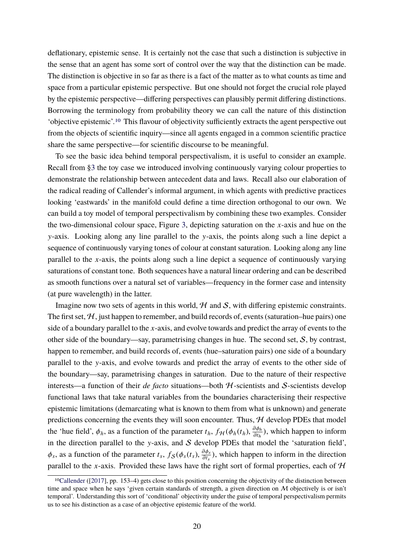deflationary, epistemic sense. It is certainly not the case that such a distinction is subjective in the sense that an agent has some sort of control over the way that the distinction can be made. The distinction is objective in so far as there is a fact of the matter as to what counts as time and space from a particular epistemic perspective. But one should not forget the crucial role played by the epistemic perspective—differing perspectives can plausibly permit differing distinctions. Borrowing the terminology from probability theory we can call the nature of this distinction 'objective epistemic'.[10](#page-19-0) This flavour of objectivity sufficiently extracts the agent perspective out from the objects of scientific inquiry—since all agents engaged in a common scientific practice share the same perspective—for scientific discourse to be meaningful.

To see the basic idea behind temporal perspectivalism, it is useful to consider an example. Recall from [§3](#page-3-0) the toy case we introduced involving continuously varying colour properties to demonstrate the relationship between antecedent data and laws. Recall also our elaboration of the radical reading of Callender's informal argument, in which agents with predictive practices looking 'eastwards' in the manifold could define a time direction orthogonal to our own. We can build a toy model of temporal perspectivalism by combining these two examples. Consider the two-dimensional colour space, Figure [3,](#page-20-0) depicting saturation on the *x*-axis and hue on the y-axis. Looking along any line parallel to the y-axis, the points along such a line depict a sequence of continuously varying tones of colour at constant saturation. Looking along any line parallel to the *x*-axis, the points along such a line depict a sequence of continuously varying saturations of constant tone. Both sequences have a natural linear ordering and can be described as smooth functions over a natural set of variables—frequency in the former case and intensity (at pure wavelength) in the latter.

Imagine now two sets of agents in this world,  $H$  and  $S$ , with differing epistemic constraints. The first set,  $H$ , just happen to remember, and build records of, events (saturation–hue pairs) one side of a boundary parallel to the *x*-axis, and evolve towards and predict the array of events to the other side of the boundary—say, parametrising changes in hue. The second set,  $S$ , by contrast, happen to remember, and build records of, events (hue–saturation pairs) one side of a boundary parallel to the y-axis, and evolve towards and predict the array of events to the other side of the boundary—say, parametrising changes in saturation. Due to the nature of their respective interests—a function of their *de facto* situations—both H-scientists and S-scientists develop functional laws that take natural variables from the boundaries characterising their respective epistemic limitations (demarcating what is known to them from what is unknown) and generate predictions concerning the events they will soon encounter. Thus,  $H$  develop PDEs that model the 'hue field',  $\phi_h$ , as a function of the parameter  $t_h$ ,  $f_H(\phi_h(t_h), \frac{\partial \phi_h}{\partial t_h})$ , which happen to inform in the direction parallel to the y-axis, and  $S$  develop PDEs that model the 'saturation field',  $\phi_s$ , as a function of the parameter  $t_s$ ,  $f_S(\phi_s(t_s), \frac{\partial \phi_s}{\partial t_s})$ , which happen to inform in the direction parallel to the *y* avis. Provided these laws have the right sent of formal properties, seek of  $\partial t$ parallel to the *x*-axis. Provided these laws have the right sort of formal properties, each of  $H$ 

<span id="page-19-0"></span> $10$ [Callender](#page-22-0) ([\[2017\]](#page-22-0), pp. 153–4) gets close to this position concerning the objectivity of the distinction between time and space when he says 'given certain standards of strength, a given direction on M objectively is or isn't temporal'. Understanding this sort of 'conditional' objectivity under the guise of temporal perspectivalism permits us to see his distinction as a case of an objective epistemic feature of the world.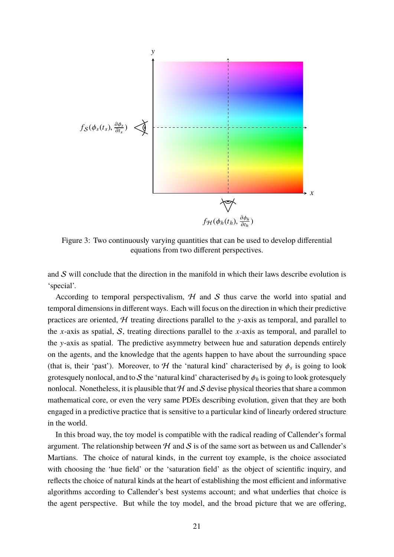<span id="page-20-0"></span>

Figure 3: Two continuously varying quantities that can be used to develop differential equations from two different perspectives.

and  $S$  will conclude that the direction in the manifold in which their laws describe evolution is 'special'.

According to temporal perspectivalism,  $H$  and  $S$  thus carve the world into spatial and temporal dimensions in different ways. Each will focus on the direction in which their predictive practices are oriented,  $H$  treating directions parallel to the y-axis as temporal, and parallel to the *x*-axis as spatial, S, treating directions parallel to the *x*-axis as temporal, and parallel to the y-axis as spatial. The predictive asymmetry between hue and saturation depends entirely on the agents, and the knowledge that the agents happen to have about the surrounding space (that is, their 'past'). Moreover, to *H* the 'natural kind' characterised by  $\phi_s$  is going to look grotesquely nonlocal, and to S the 'natural kind' characterised by  $\phi_h$  is going to look grotesquely nonlocal. Nonetheless, it is plausible that  $H$  and  $S$  devise physical theories that share a common mathematical core, or even the very same PDEs describing evolution, given that they are both engaged in a predictive practice that is sensitive to a particular kind of linearly ordered structure in the world.

In this broad way, the toy model is compatible with the radical reading of Callender's formal argument. The relationship between  $H$  and  $S$  is of the same sort as between us and Callender's Martians. The choice of natural kinds, in the current toy example, is the choice associated with choosing the 'hue field' or the 'saturation field' as the object of scientific inquiry, and reflects the choice of natural kinds at the heart of establishing the most efficient and informative algorithms according to Callender's best systems account; and what underlies that choice is the agent perspective. But while the toy model, and the broad picture that we are offering,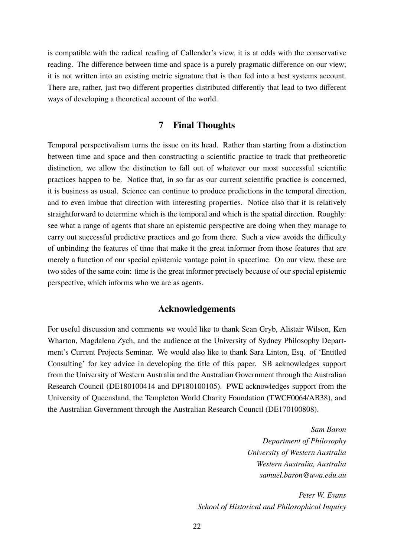is compatible with the radical reading of Callender's view, it is at odds with the conservative reading. The difference between time and space is a purely pragmatic difference on our view; it is not written into an existing metric signature that is then fed into a best systems account. There are, rather, just two different properties distributed differently that lead to two different ways of developing a theoretical account of the world.

# **7 Final Thoughts**

<span id="page-21-0"></span>Temporal perspectivalism turns the issue on its head. Rather than starting from a distinction between time and space and then constructing a scientific practice to track that pretheoretic distinction, we allow the distinction to fall out of whatever our most successful scientific practices happen to be. Notice that, in so far as our current scientific practice is concerned, it is business as usual. Science can continue to produce predictions in the temporal direction, and to even imbue that direction with interesting properties. Notice also that it is relatively straightforward to determine which is the temporal and which is the spatial direction. Roughly: see what a range of agents that share an epistemic perspective are doing when they manage to carry out successful predictive practices and go from there. Such a view avoids the difficulty of unbinding the features of time that make it the great informer from those features that are merely a function of our special epistemic vantage point in spacetime. On our view, these are two sides of the same coin: time is the great informer precisely because of our special epistemic perspective, which informs who we are as agents.

## **Acknowledgements**

For useful discussion and comments we would like to thank Sean Gryb, Alistair Wilson, Ken Wharton, Magdalena Zych, and the audience at the University of Sydney Philosophy Department's Current Projects Seminar. We would also like to thank Sara Linton, Esq. of 'Entitled Consulting' for key advice in developing the title of this paper. SB acknowledges support from the University of Western Australia and the Australian Government through the Australian Research Council (DE180100414 and DP180100105). PWE acknowledges support from the University of Queensland, the Templeton World Charity Foundation (TWCF0064/AB38), and the Australian Government through the Australian Research Council (DE170100808).

> *Sam Baron Department of Philosophy University of Western Australia Western Australia, Australia samuel.baron@uwa.edu.au*

*Peter W. Evans School of Historical and Philosophical Inquiry*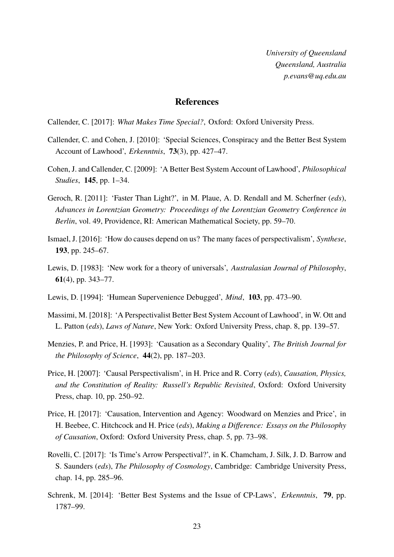*University of Queensland Queensland, Australia p.evans@uq.edu.au*

### **References**

<span id="page-22-0"></span>Callender, C. [2017]: *What Makes Time Special?*, Oxford: Oxford University Press.

- <span id="page-22-4"></span>Callender, C. and Cohen, J. [2010]: 'Special Sciences, Conspiracy and the Better Best System Account of Lawhood', *Erkenntnis*, **73**(3), pp. 427–47.
- <span id="page-22-3"></span>Cohen, J. and Callender, C. [2009]: 'A Better Best System Account of Lawhood', *Philosophical Studies*, **145**, pp. 1–34.
- <span id="page-22-6"></span>Geroch, R. [2011]: 'Faster Than Light?', in M. Plaue, A. D. Rendall and M. Scherfner (*eds*), *Advances in Lorentzian Geometry: Proceedings of the Lorentzian Geometry Conference in Berlin*, vol. 49, Providence, RI: American Mathematical Society, pp. 59–70.
- <span id="page-22-8"></span>Ismael, J. [2016]: 'How do causes depend on us? The many faces of perspectivalism', *Synthese*, **193**, pp. 245–67.
- <span id="page-22-1"></span>Lewis, D. [1983]: 'New work for a theory of universals', *Australasian Journal of Philosophy*, **61**(4), pp. 343–77.
- <span id="page-22-2"></span>Lewis, D. [1994]: 'Humean Supervenience Debugged', *Mind*, **103**, pp. 473–90.
- <span id="page-22-10"></span>Massimi, M. [2018]: 'A Perspectivalist Better Best System Account of Lawhood', in W. Ott and L. Patton (*eds*), *Laws of Nature*, New York: Oxford University Press, chap. 8, pp. 139–57.
- <span id="page-22-11"></span>Menzies, P. and Price, H. [1993]: 'Causation as a Secondary Quality', *The British Journal for the Philosophy of Science*, **44**(2), pp. 187–203.
- <span id="page-22-7"></span>Price, H. [2007]: 'Causal Perspectivalism', in H. Price and R. Corry (*eds*), *Causation, Physics, and the Constitution of Reality: Russell's Republic Revisited*, Oxford: Oxford University Press, chap. 10, pp. 250–92.
- <span id="page-22-12"></span>Price, H. [2017]: 'Causation, Intervention and Agency: Woodward on Menzies and Price', in H. Beebee, C. Hitchcock and H. Price (*eds*), *Making a Difference: Essays on the Philosophy of Causation*, Oxford: Oxford University Press, chap. 5, pp. 73–98.
- <span id="page-22-9"></span>Rovelli, C. [2017]: 'Is Time's Arrow Perspectival?', in K. Chamcham, J. Silk, J. D. Barrow and S. Saunders (*eds*), *The Philosophy of Cosmology*, Cambridge: Cambridge University Press, chap. 14, pp. 285–96.
- <span id="page-22-5"></span>Schrenk, M. [2014]: 'Better Best Systems and the Issue of CP-Laws', *Erkenntnis*, **79**, pp. 1787–99.